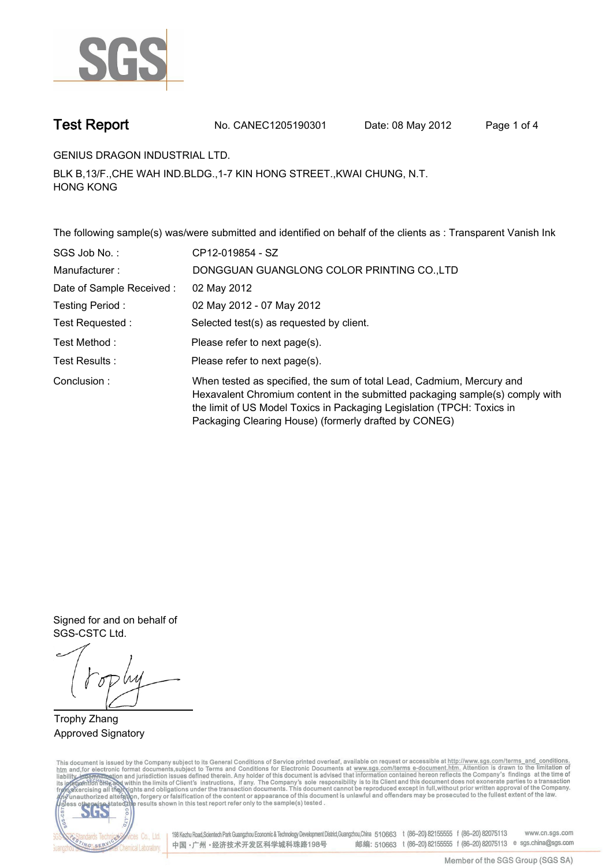

**Test Report. No. CANEC1205190301 Date: 08 May 2012. Page 1 of 4.**

**GENIUS DRAGON INDUSTRIAL LTD..**

**BLK B,13/F.,CHE WAH IND.BLDG.,1-7 KIN HONG STREET.,KWAI CHUNG, N.T. HONG KONG.**

**The following sample(s) was/were submitted and identified on behalf of the clients as : Transparent Vanish Ink.**

| SGS Job No.:             | CP12-019854 - SZ                                                                                                                                                                                                                                                                         |
|--------------------------|------------------------------------------------------------------------------------------------------------------------------------------------------------------------------------------------------------------------------------------------------------------------------------------|
| Manufacturer:            | DONGGUAN GUANGLONG COLOR PRINTING CO.,LTD                                                                                                                                                                                                                                                |
| Date of Sample Received: | 02 May 2012                                                                                                                                                                                                                                                                              |
| Testing Period:          | 02 May 2012 - 07 May 2012                                                                                                                                                                                                                                                                |
| Test Requested :         | Selected test(s) as requested by client.                                                                                                                                                                                                                                                 |
| Test Method :            | Please refer to next page(s).                                                                                                                                                                                                                                                            |
| Test Results :           | Please refer to next page(s).                                                                                                                                                                                                                                                            |
| Conclusion:              | When tested as specified, the sum of total Lead, Cadmium, Mercury and<br>Hexavalent Chromium content in the submitted packaging sample(s) comply with<br>the limit of US Model Toxics in Packaging Legislation (TPCH: Toxics in<br>Packaging Clearing House) (formerly drafted by CONEG) |

**Signed for and on behalf of SGS-CSTC Ltd..**

**Trophy Zhang. Approved Signatory.**

This document is issued by the Company subject to its General Conditions of Service printed overleaf, available on request or accessible at http://www.sgs.com/terms\_and\_conditions.<br>htm\_and,for electronic format documents,s



198 Kezhu Road,Scientech Park Guangzhou Economic & Technology Development District,Guangzhou,China 510663 t (86-20) 82155555 f (86-20) 82075113 www.cn.sgs.com 邮编: 510663 t (86-20) 82155555 f (86-20) 82075113 e sgs.china@sgs.com 中国·广州·经济技术开发区科学城科珠路198号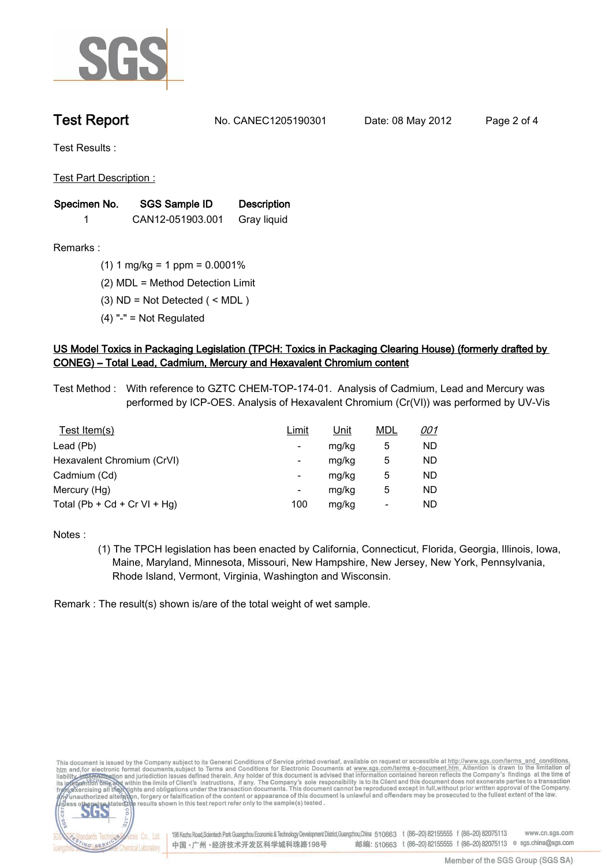

**Test Report. No. CANEC1205190301 Date: 08 May 2012. Page 2 of 4.**

**Test Results :.**

**Test Part Description :.**

| Specimen No. | SGS Sample ID    | <b>Description</b> |  |
|--------------|------------------|--------------------|--|
|              | CAN12-051903.001 | Gray liguid        |  |

**Remarks :.(1) 1 mg/kg = 1 ppm = 0.0001%.**

**(2) MDL = Method Detection Limit.**

- **(3) ND = Not Detected ( < MDL ).**
- **(4) "-" = Not Regulated.**

## **US Model Toxics in Packaging Legislation (TPCH: Toxics in Packaging Clearing House) (formerly drafted by CONEG) – Total Lead, Cadmium, Mercury and Hexavalent Chromium content.**

**Test Method :. With reference to GZTC CHEM-TOP-174-01. Analysis of Cadmium, Lead and Mercury was performed by ICP-OES. Analysis of Hexavalent Chromium (Cr(VI)) was performed by UV-Vis.**

| Test Item $(s)$              | Limit                    | <u>Unit</u> | <b>MDL</b> | <u>001</u> |
|------------------------------|--------------------------|-------------|------------|------------|
| Lead (Pb)                    | $\overline{\phantom{a}}$ | mg/kg       | 5          | ND         |
| Hexavalent Chromium (CrVI)   | $\overline{\phantom{a}}$ | mg/kg       | 5          | ND         |
| Cadmium (Cd)                 | ۰                        | mg/kg       | 5          | <b>ND</b>  |
| Mercury (Hg)                 | -                        | mg/kg       | 5          | <b>ND</b>  |
| Total (Pb + Cd + Cr VI + Hg) | 100                      | mg/kg       | ۰          | <b>ND</b>  |

**Notes :.**

**(1) The TPCH legislation has been enacted by California, Connecticut, Florida, Georgia, Illinois, Iowa, Maine, Maryland, Minnesota, Missouri, New Hampshire, New Jersey, New York, Pennsylvania, Rhode Island, Vermont, Virginia, Washington and Wisconsin..**

**Remark : The result(s) shown is/are of the total weight of wet sample..**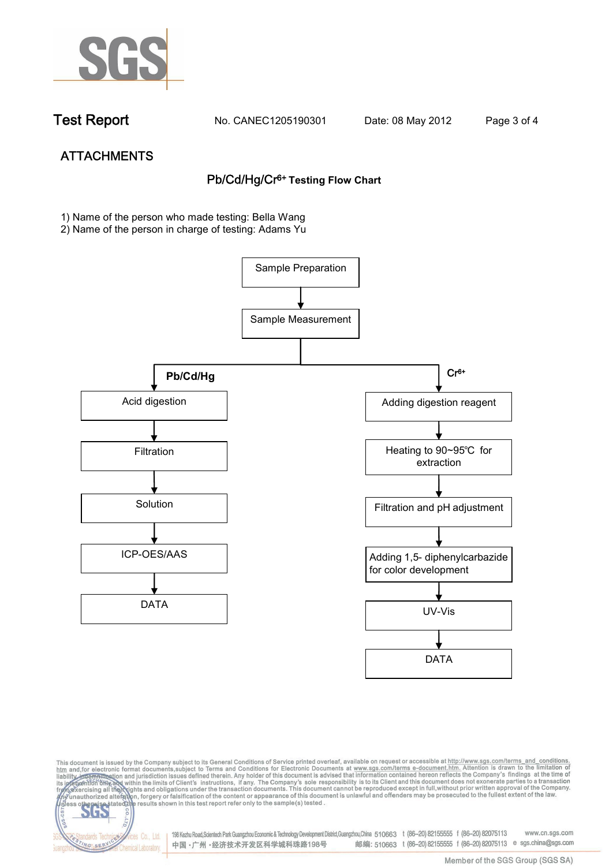

NG SER

**Chemical Laboratory** 

**Test Report. No. CANEC1205190301 Date: 08 May 2012. Page 3 of 4.**

# **ATTACHMENTS Pb/Cd/Hg/Cr6+ Testing Flow Chart**

**1)** Name of the person who made testing: Bella Wang

2) Name of the person in charge of testing: Adams Yu





邮编: 510663 t (86-20) 82155555 f (86-20) 82075113 e sgs.china@sgs.com 中国·广州·经济技术开发区科学城科珠路198号